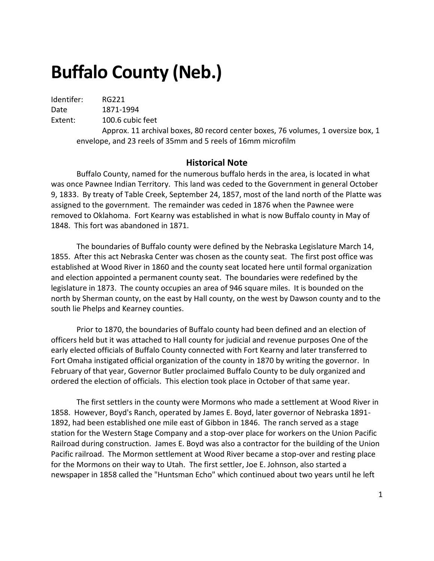# **Buffalo County (Neb.)**

Identifer: RG221

Date 1871-1994 Extent: 100.6 cubic feet

Approx. 11 archival boxes, 80 record center boxes, 76 volumes, 1 oversize box, 1 envelope, and 23 reels of 35mm and 5 reels of 16mm microfilm

#### **Historical Note**

Buffalo County, named for the numerous buffalo herds in the area, is located in what was once Pawnee Indian Territory. This land was ceded to the Government in general October 9, 1833. By treaty of Table Creek, September 24, 1857, most of the land north of the Platte was assigned to the government. The remainder was ceded in 1876 when the Pawnee were removed to Oklahoma. Fort Kearny was established in what is now Buffalo county in May of 1848. This fort was abandoned in 1871.

The boundaries of Buffalo county were defined by the Nebraska Legislature March 14, 1855. After this act Nebraska Center was chosen as the county seat. The first post office was established at Wood River in 1860 and the county seat located here until formal organization and election appointed a permanent county seat. The boundaries were redefined by the legislature in 1873. The county occupies an area of 946 square miles. It is bounded on the north by Sherman county, on the east by Hall county, on the west by Dawson county and to the south lie Phelps and Kearney counties.

Prior to 1870, the boundaries of Buffalo county had been defined and an election of officers held but it was attached to Hall county for judicial and revenue purposes One of the early elected officials of Buffalo County connected with Fort Kearny and later transferred to Fort Omaha instigated official organization of the county in 1870 by writing the governor. In February of that year, Governor Butler proclaimed Buffalo County to be duly organized and ordered the election of officials. This election took place in October of that same year.

The first settlers in the county were Mormons who made a settlement at Wood River in 1858. However, Boyd's Ranch, operated by James E. Boyd, later governor of Nebraska 1891- 1892, had been established one mile east of Gibbon in 1846. The ranch served as a stage station for the Western Stage Company and a stop-over place for workers on the Union Pacific Railroad during construction. James E. Boyd was also a contractor for the building of the Union Pacific railroad. The Mormon settlement at Wood River became a stop-over and resting place for the Mormons on their way to Utah. The first settler, Joe E. Johnson, also started a newspaper in 1858 called the "Huntsman Echo" which continued about two years until he left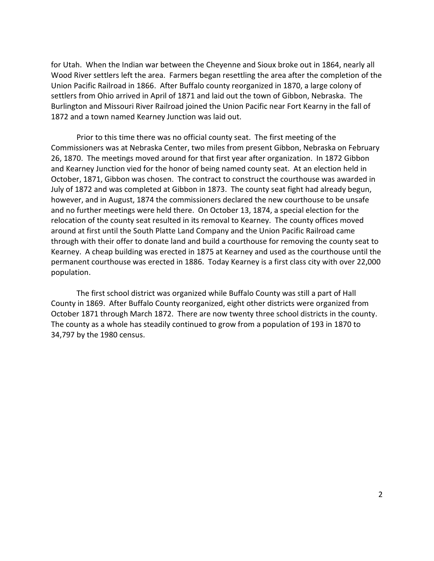for Utah. When the Indian war between the Cheyenne and Sioux broke out in 1864, nearly all Wood River settlers left the area. Farmers began resettling the area after the completion of the Union Pacific Railroad in 1866. After Buffalo county reorganized in 1870, a large colony of settlers from Ohio arrived in April of 1871 and laid out the town of Gibbon, Nebraska. The Burlington and Missouri River Railroad joined the Union Pacific near Fort Kearny in the fall of 1872 and a town named Kearney Junction was laid out.

Prior to this time there was no official county seat. The first meeting of the Commissioners was at Nebraska Center, two miles from present Gibbon, Nebraska on February 26, 1870. The meetings moved around for that first year after organization. In 1872 Gibbon and Kearney Junction vied for the honor of being named county seat. At an election held in October, 1871, Gibbon was chosen. The contract to construct the courthouse was awarded in July of 1872 and was completed at Gibbon in 1873. The county seat fight had already begun, however, and in August, 1874 the commissioners declared the new courthouse to be unsafe and no further meetings were held there. On October 13, 1874, a special election for the relocation of the county seat resulted in its removal to Kearney. The county offices moved around at first until the South Platte Land Company and the Union Pacific Railroad came through with their offer to donate land and build a courthouse for removing the county seat to Kearney. A cheap building was erected in 1875 at Kearney and used as the courthouse until the permanent courthouse was erected in 1886. Today Kearney is a first class city with over 22,000 population.

The first school district was organized while Buffalo County was still a part of Hall County in 1869. After Buffalo County reorganized, eight other districts were organized from October 1871 through March 1872. There are now twenty three school districts in the county. The county as a whole has steadily continued to grow from a population of 193 in 1870 to 34,797 by the 1980 census.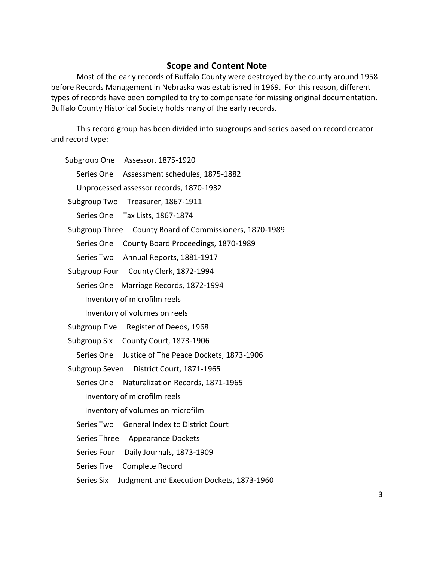#### **Scope and Content Note**

Most of the early records of Buffalo County were destroyed by the county around 1958 before Records Management in Nebraska was established in 1969. For this reason, different types of records have been compiled to try to compensate for missing original documentation. Buffalo County Historical Society holds many of the early records.

This record group has been divided into subgroups and series based on record creator and record type:

[Subgroup One Assessor, 1875-1920](#page-4-0)

[Series One Assessment schedules, 1875-1882](#page-4-1)

[Unprocessed assessor records, 1870-1932](#page-4-2)

[Subgroup Two Treasurer, 1867-1911](#page-5-0)

[Series One Tax Lists, 1867-1874](#page-5-1)

[Subgroup Three County Board of Commissioners, 1870-1989](#page-5-2)

[Series One County Board Proceedings, 1870-1989](#page-5-3)

[Series Two Annual Reports, 1881-1917](#page-7-0)

[Subgroup Four County Clerk, 1872-1994](#page-7-1)

Series One [Marriage Records, 1872-1994](#page-7-2)

[Inventory of microfilm reels](#page-7-3)

[Inventory of volumes on reels](#page-11-0)

[Subgroup Five Register of Deeds, 1968](#page-15-0)

[Subgroup Six County Court, 1873-1906](#page-16-0)

[Series One Justice of The Peace Dockets, 1873-1906](#page-16-1)

[Subgroup Seven District Court, 1871-1965](#page-17-0)

[Series One Naturalization Records, 1871-1965](#page-17-1)

[Inventory of microfilm reels](#page-18-0)

[Inventory of volumes on microfilm](#page-18-1)

[Series Two General Index to District Court](#page-21-0)

[Series Three Appearance Dockets](#page-21-1)

[Series Four Daily Journals, 1873-1909](#page-21-2)

[Series Five Complete Record](#page-21-3)

[Series Six Judgment and Execution Dockets, 1873-1960](#page-21-4)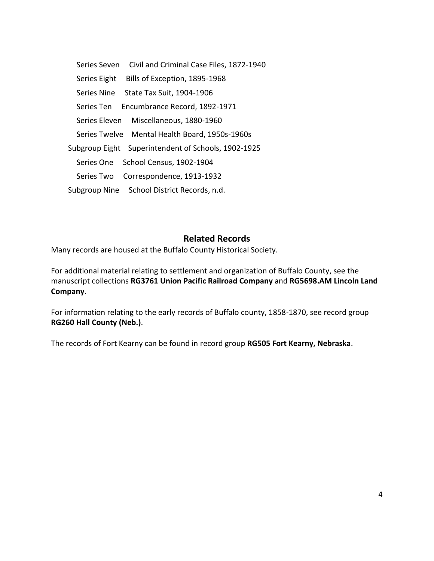[Series Seven Civil and Criminal Case Files, 1872-1940](#page-21-5) [Series Eight Bills of Exception, 1895-1968](#page-24-0) [Series Nine State Tax Suit, 1904-1906](#page-24-1) [Series Ten Encumbrance Record, 1892-1971](#page-24-2) [Series Eleven Miscellaneous, 1880-1960](#page-24-3) Series Twelve [Mental Health Board, 1950s-1960s](#page-25-0) [Subgroup Eight Superintendent of Schools, 1902-1925](#page-25-1) [Series One School Census, 1902-1904](#page-25-2) [Series Two Correspondence, 1913-1932](#page-25-3) [Subgroup Nine School District Records, n.d.](#page-25-4)

#### **Related Records**

Many records are housed at the Buffalo County Historical Society.

For additional material relating to settlement and organization of Buffalo County, see the manuscript collections **RG3761 Union Pacific Railroad Company** and **RG5698.AM Lincoln Land Company**.

For information relating to the early records of Buffalo county, 1858-1870, see record group **RG260 Hall County (Neb.)**.

The records of Fort Kearny can be found in record group **RG505 Fort Kearny, Nebraska**.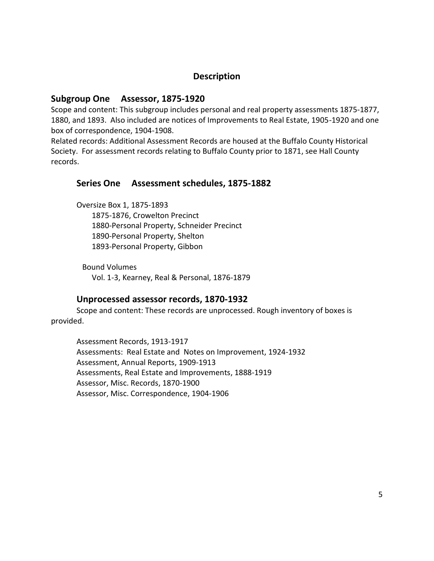# **Description**

#### <span id="page-4-0"></span>**Subgroup One Assessor, 1875-1920**

Scope and content: This subgroup includes personal and real property assessments 1875-1877, 1880, and 1893. Also included are notices of Improvements to Real Estate, 1905-1920 and one box of correspondence, 1904-1908.

Related records: Additional Assessment Records are housed at the Buffalo County Historical Society. For assessment records relating to Buffalo County prior to 1871, see Hall County records.

#### <span id="page-4-1"></span>**Series One Assessment schedules, 1875-1882**

Oversize Box 1, 1875-1893 1875-1876, Crowelton Precinct 1880-Personal Property, Schneider Precinct 1890-Personal Property, Shelton 1893-Personal Property, Gibbon

 Bound Volumes Vol. 1-3, Kearney, Real & Personal, 1876-1879

#### **Unprocessed assessor records, 1870-1932**

<span id="page-4-2"></span>Scope and content: These records are unprocessed. Rough inventory of boxes is provided.

Assessment Records, 1913-1917 Assessments: Real Estate and Notes on Improvement, 1924-1932 Assessment, Annual Reports, 1909-1913 Assessments, Real Estate and Improvements, 1888-1919 Assessor, Misc. Records, 1870-1900 Assessor, Misc. Correspondence, 1904-1906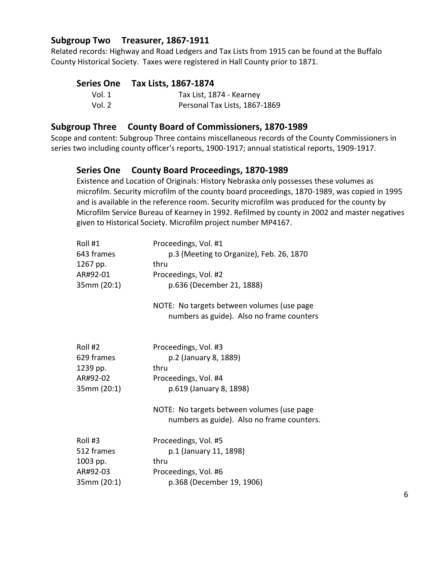## <span id="page-5-0"></span>**Subgroup Two Treasurer, 1867-1911**

Related records: Highway and Road Ledgers and Tax Lists from 1915 can be found at the Buffalo County Historical Society. Taxes were registered in Hall County prior to 1871.

# <span id="page-5-1"></span>**Series One Tax Lists, 1867-1874**

| Vol. 1 | Tax List, 1874 - Kearney      |
|--------|-------------------------------|
| Vol. 2 | Personal Tax Lists, 1867-1869 |

#### <span id="page-5-2"></span>**Subgroup Three County Board of Commissioners, 1870-1989**

Scope and content: Subgroup Three contains miscellaneous records of the County Commissioners in series two including county officer's reports, 1900-1917; annual statistical reports, 1909-1917.

# <span id="page-5-3"></span>**Series One County Board Proceedings, 1870-1989**

Existence and Location of Originals: History Nebraska only possesses these volumes as microfilm. Security microfilm of the county board proceedings, 1870-1989, was copied in 1995 and is available in the reference room. Security microfilm was produced for the county by Microfilm Service Bureau of Kearney in 1992. Refilmed by county in 2002 and master negatives given to Historical Society. Microfilm project number MP4167.

| Roll #1<br>643 frames<br>1267 pp.<br>AR#92-01<br>35mm (20:1) | Proceedings, Vol. #1<br>p.3 (Meeting to Organize), Feb. 26, 1870<br>thru<br>Proceedings, Vol. #2<br>p.636 (December 21, 1888)<br>NOTE: No targets between volumes (use page<br>numbers as guide). Also no frame counters |
|--------------------------------------------------------------|--------------------------------------------------------------------------------------------------------------------------------------------------------------------------------------------------------------------------|
| Roll #2<br>629 frames<br>1239 pp.<br>AR#92-02<br>35mm (20:1) | Proceedings, Vol. #3<br>p.2 (January 8, 1889)<br>thru<br>Proceedings, Vol. #4<br>p.619 (January 8, 1898)<br>NOTE: No targets between volumes (use page                                                                   |
| Roll #3<br>512 frames<br>1003 pp.<br>AR#92-03<br>35mm (20:1) | numbers as guide). Also no frame counters.<br>Proceedings, Vol. #5<br>p.1 (January 11, 1898)<br>thru<br>Proceedings, Vol. #6<br>p.368 (December 19, 1906)                                                                |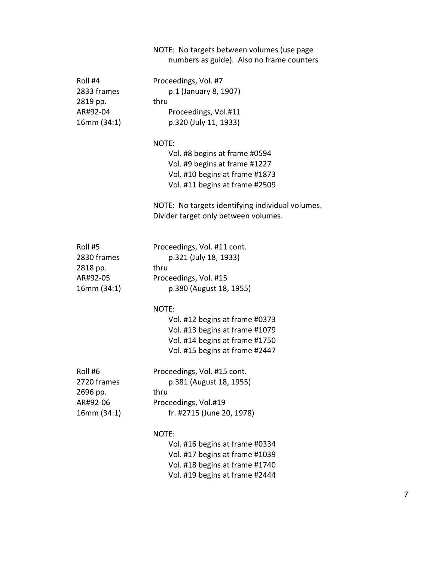# NOTE: No targets between volumes (use page numbers as guide). Also no frame counters

| Roll #4<br>2833 frames<br>2819 pp.<br>AR#92-04<br>16mm(34:1)  | Proceedings, Vol. #7<br>p.1 (January 8, 1907)<br>thru<br>Proceedings, Vol.#11<br>p.320 (July 11, 1933)                                        |
|---------------------------------------------------------------|-----------------------------------------------------------------------------------------------------------------------------------------------|
|                                                               | NOTE:<br>Vol. #8 begins at frame #0594<br>Vol. #9 begins at frame #1227<br>Vol. #10 begins at frame #1873<br>Vol. #11 begins at frame #2509   |
|                                                               | NOTE: No targets identifying individual volumes.<br>Divider target only between volumes.                                                      |
| Roll #5<br>2830 frames<br>2818 pp.<br>AR#92-05<br>16mm (34:1) | Proceedings, Vol. #11 cont.<br>p.321 (July 18, 1933)<br>thru<br>Proceedings, Vol. #15<br>p.380 (August 18, 1955)                              |
|                                                               | NOTE:<br>Vol. #12 begins at frame #0373<br>Vol. #13 begins at frame #1079<br>Vol. #14 begins at frame #1750<br>Vol. #15 begins at frame #2447 |
| Roll #6<br>2720 frames<br>2696 pp.<br>AR#92-06<br>16mm (34:1) | Proceedings, Vol. #15 cont.<br>p.381 (August 18, 1955)<br>thru<br>Proceedings, Vol.#19<br>fr. #2715 (June 20, 1978)                           |
|                                                               | NOTE:<br>Vol. #16 begins at frame #0334<br>Vol. #17 begins at frame #1039<br>Vol. #18 begins at frame #1740<br>Vol. #19 begins at frame #2444 |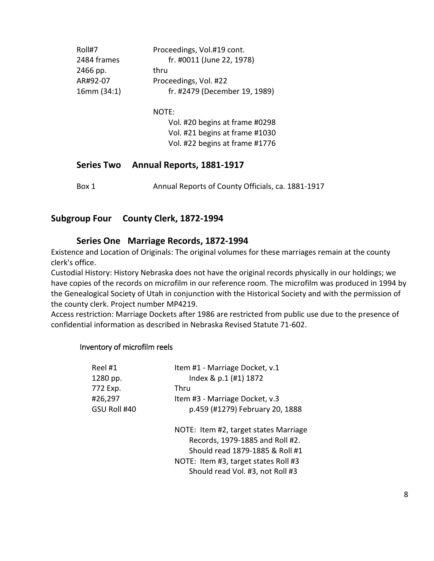| Roll#7<br>2484 frames<br>2466 pp.<br>AR#92-07<br>16mm(34:1) | Proceedings, Vol.#19 cont.<br>fr. #0011 (June 22, 1978)<br>thru<br>Proceedings, Vol. #22<br>fr. #2479 (December 19, 1989) |
|-------------------------------------------------------------|---------------------------------------------------------------------------------------------------------------------------|
|                                                             | NOTE:<br>Vol. #20 begins at frame #0298<br>Vol. #21 begins at frame #1030<br>Vol. #22 begins at frame #1776               |
| <b>Series Two</b>                                           | Annual Reports, 1881-1917                                                                                                 |
| Box 1                                                       | Annual Reports of County Officials, ca. 1881-1917                                                                         |

# <span id="page-7-1"></span><span id="page-7-0"></span>**Subgroup Four County Clerk, 1872-1994**

#### <span id="page-7-2"></span>**Series One Marriage Records, 1872-1994**

Existence and Location of Originals: The original volumes for these marriages remain at the county clerk's office.

Custodial History: History Nebraska does not have the original records physically in our holdings; we have copies of the records on microfilm in our reference room. The microfilm was produced in 1994 by the Genealogical Society of Utah in conjunction with the Historical Society and with the permission of the county clerk. Project number MP4219.

Access restriction: Marriage Dockets after 1986 are restricted from public use due to the presence of confidential information as described in Nebraska Revised Statute 71-602.

#### <span id="page-7-3"></span>Inventory of microfilm reels

| Reel #1      | Item #1 - Marriage Docket, v.1                                                                                                                                                          |
|--------------|-----------------------------------------------------------------------------------------------------------------------------------------------------------------------------------------|
| 1280 pp.     | Index & p.1 (#1) 1872                                                                                                                                                                   |
| 772 Exp.     | Thru                                                                                                                                                                                    |
| #26,297      | Item #3 - Marriage Docket, v.3                                                                                                                                                          |
| GSU Roll #40 | p.459 (#1279) February 20, 1888                                                                                                                                                         |
|              | NOTE: Item #2, target states Marriage<br>Records, 1979-1885 and Roll #2.<br>Should read 1879-1885 & Roll #1<br>NOTE: Item #3, target states Roll #3<br>Should read Vol. #3, not Roll #3 |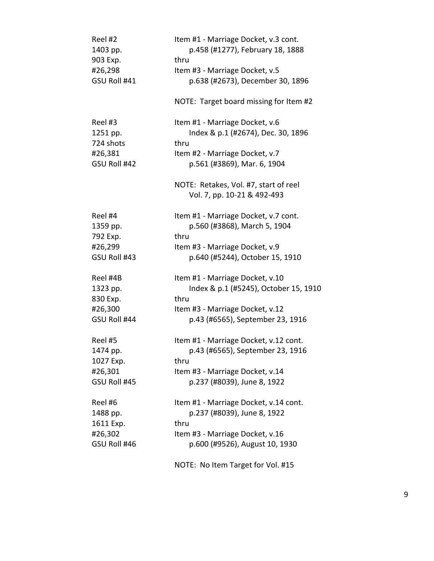| NOTE: Target board missing for Item #2<br>Reel #3<br>Item #1 - Marriage Docket, v.6<br>Index & p.1 (#2674), Dec. 30, 1896<br>1251 pp.<br>724 shots<br>thru<br>#26,381<br>Item #2 - Marriage Docket, v.7<br>GSU Roll #42<br>p.561 (#3869), Mar. 6, 1904<br>NOTE: Retakes, Vol. #7, start of reel<br>Vol. 7, pp. 10-21 & 492-493<br>Reel #4<br>Item #1 - Marriage Docket, v.7 cont.<br>p.560 (#3868), March 5, 1904<br>1359 pp.<br>792 Exp.<br>thru<br>#26,299<br>Item #3 - Marriage Docket, v.9<br>GSU Roll #43<br>p.640 (#5244), October 15, 1910<br>Reel #4B<br>Item #1 - Marriage Docket, v.10<br>1323 pp.<br>Index & p.1 (#5245), October 15, 1910<br>830 Exp.<br>thru<br>#26,300<br>Item #3 - Marriage Docket, v.12<br>GSU Roll #44<br>p.43 (#6565), September 23, 1916<br>Reel #5<br>Item #1 - Marriage Docket, v.12 cont.<br>p.43 (#6565), September 23, 1916<br>1474 pp.<br>1027 Exp.<br>thru | p.638 (#2673), December 30, 1896 |
|------------------------------------------------------------------------------------------------------------------------------------------------------------------------------------------------------------------------------------------------------------------------------------------------------------------------------------------------------------------------------------------------------------------------------------------------------------------------------------------------------------------------------------------------------------------------------------------------------------------------------------------------------------------------------------------------------------------------------------------------------------------------------------------------------------------------------------------------------------------------------------------------------|----------------------------------|
|                                                                                                                                                                                                                                                                                                                                                                                                                                                                                                                                                                                                                                                                                                                                                                                                                                                                                                      |                                  |
|                                                                                                                                                                                                                                                                                                                                                                                                                                                                                                                                                                                                                                                                                                                                                                                                                                                                                                      |                                  |
|                                                                                                                                                                                                                                                                                                                                                                                                                                                                                                                                                                                                                                                                                                                                                                                                                                                                                                      |                                  |
| #26,301<br>Item #3 - Marriage Docket, v.14<br>GSU Roll #45<br>p.237 (#8039), June 8, 1922                                                                                                                                                                                                                                                                                                                                                                                                                                                                                                                                                                                                                                                                                                                                                                                                            |                                  |
| Item #1 - Marriage Docket, v.14 cont.<br>Reel #6<br>p.237 (#8039), June 8, 1922<br>1488 pp.<br>1611 Exp.<br>thru<br>Item #3 - Marriage Docket, v.16<br>#26,302<br>GSU Roll #46<br>p.600 (#9526), August 10, 1930<br>NOTE: No Item Target for Vol. #15                                                                                                                                                                                                                                                                                                                                                                                                                                                                                                                                                                                                                                                |                                  |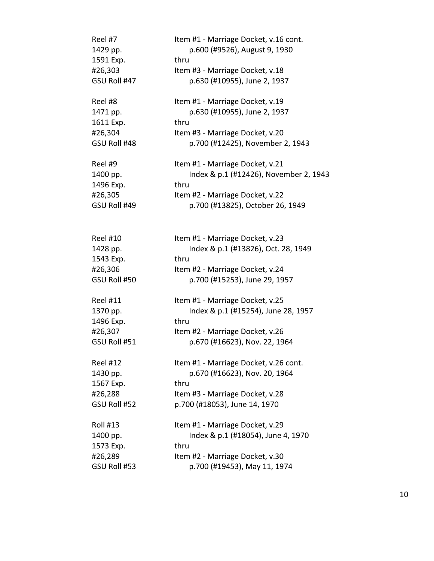| Reel #7                 | Item #1 - Marriage Docket, v.16 cont.       |
|-------------------------|---------------------------------------------|
| 1429 pp.                | p.600 (#9526), August 9, 1930               |
| 1591 Exp.               | thru                                        |
| #26,303                 | Item #3 - Marriage Docket, v.18             |
| GSU Roll #47            | p.630 (#10955), June 2, 1937                |
| Reel #8                 | Item #1 - Marriage Docket, v.19             |
| 1471 pp.                | p.630 (#10955), June 2, 1937                |
| 1611 Exp.               | thru                                        |
| #26,304                 | Item #3 - Marriage Docket, v.20             |
| GSU Roll #48            | p.700 (#12425), November 2, 1943            |
| Reel #9                 | Item #1 - Marriage Docket, v.21             |
| 1400 pp.                | Index & p.1 (#12426), November 2, 1943      |
| 1496 Exp.               | thru                                        |
| #26,305                 | Item #2 - Marriage Docket, v.22             |
| GSU Roll #49            | p.700 (#13825), October 26, 1949            |
|                         |                                             |
| <b>Reel #10</b>         | Item #1 - Marriage Docket, v.23             |
| 1428 pp.                | Index & p.1 (#13826), Oct. 28, 1949<br>thru |
| 1543 Exp.               |                                             |
| #26,306<br>GSU Roll #50 | Item #2 - Marriage Docket, v.24             |
|                         | p.700 (#15253), June 29, 1957               |
| <b>Reel #11</b>         | Item #1 - Marriage Docket, v.25             |
| 1370 pp.                | Index & p.1 (#15254), June 28, 1957         |
| 1496 Exp.               | thru                                        |
| #26,307                 | Item #2 - Marriage Docket, v.26             |
| GSU Roll #51            | p.670 (#16623), Nov. 22, 1964               |
| <b>Reel #12</b>         | Item #1 - Marriage Docket, v.26 cont.       |
| 1430 pp.                | p.670 (#16623), Nov. 20, 1964               |
| 1567 Exp.               | thru                                        |
| #26,288                 | Item #3 - Marriage Docket, v.28             |
| GSU Roll #52            | p.700 (#18053), June 14, 1970               |
| <b>Roll #13</b>         | Item #1 - Marriage Docket, v.29             |
| 1400 pp.                | Index & p.1 (#18054), June 4, 1970          |
| 1573 Exp.               | thru                                        |
| #26,289                 | Item #2 - Marriage Docket, v.30             |
| GSU Roll #53            | p.700 (#19453), May 11, 1974                |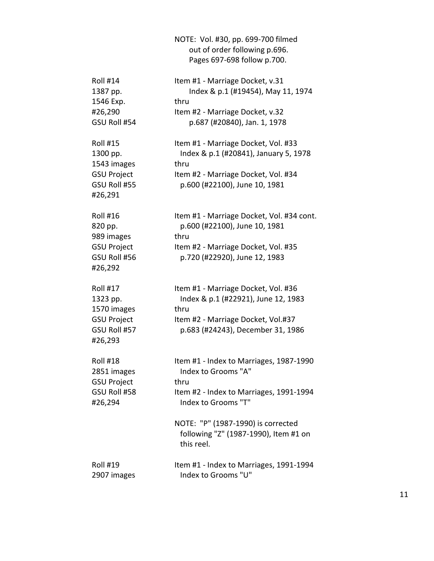|                                                                                             | NOTE: Vol. #30, pp. 699-700 filmed<br>out of order following p.696.<br>Pages 697-698 follow p.700.                                                            |
|---------------------------------------------------------------------------------------------|---------------------------------------------------------------------------------------------------------------------------------------------------------------|
| <b>Roll #14</b><br>1387 pp.<br>1546 Exp.<br>#26,290<br>GSU Roll #54                         | Item #1 - Marriage Docket, v.31<br>Index & p.1 (#19454), May 11, 1974<br>thru<br>Item #2 - Marriage Docket, v.32<br>p.687 (#20840), Jan. 1, 1978              |
| <b>Roll #15</b><br>1300 pp.<br>1543 images<br><b>GSU Project</b><br>GSU Roll #55<br>#26,291 | Item #1 - Marriage Docket, Vol. #33<br>Index & p.1 (#20841), January 5, 1978<br>thru<br>Item #2 - Marriage Docket, Vol. #34<br>p.600 (#22100), June 10, 1981  |
| <b>Roll #16</b><br>820 pp.<br>989 images<br><b>GSU Project</b><br>GSU Roll #56<br>#26,292   | Item #1 - Marriage Docket, Vol. #34 cont.<br>p.600 (#22100), June 10, 1981<br>thru<br>Item #2 - Marriage Docket, Vol. #35<br>p.720 (#22920), June 12, 1983    |
| <b>Roll #17</b><br>1323 pp.<br>1570 images<br><b>GSU Project</b><br>GSU Roll #57<br>#26,293 | Item #1 - Marriage Docket, Vol. #36<br>Index & p.1 (#22921), June 12, 1983<br>thru<br>Item #2 - Marriage Docket, Vol.#37<br>p.683 (#24243), December 31, 1986 |
| <b>Roll #18</b><br>2851 images<br><b>GSU Project</b><br>GSU Roll #58<br>#26,294             | Item #1 - Index to Marriages, 1987-1990<br>Index to Grooms "A"<br>thru<br>Item #2 - Index to Marriages, 1991-1994<br>Index to Grooms "T"                      |
|                                                                                             | NOTE: "P" (1987-1990) is corrected<br>following "Z" (1987-1990), Item #1 on<br>this reel.                                                                     |
| <b>Roll #19</b><br>2907 images                                                              | Item #1 - Index to Marriages, 1991-1994<br>Index to Grooms "U"                                                                                                |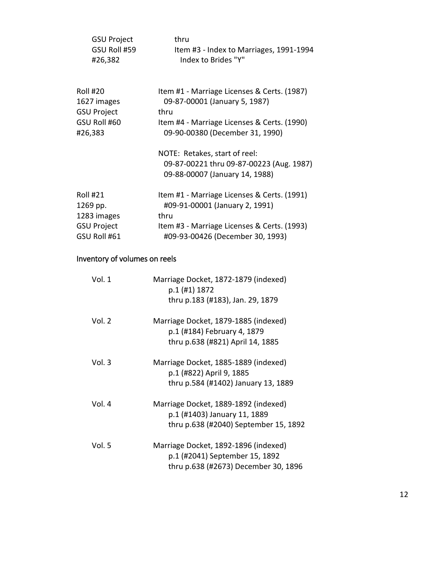| <b>GSU Project</b>      | thru                                                                         |
|-------------------------|------------------------------------------------------------------------------|
| GSU Roll #59<br>#26,382 | Item #3 - Index to Marriages, 1991-1994<br>Index to Brides "Y"               |
|                         |                                                                              |
| Roll #20<br>1627 images | Item #1 - Marriage Licenses & Certs. (1987)<br>09-87-00001 (January 5, 1987) |
| <b>GSU Project</b>      | thru                                                                         |
| GSU Roll #60            | Item #4 - Marriage Licenses & Certs. (1990)                                  |
| #26,383                 | 09-90-00380 (December 31, 1990)                                              |
|                         | NOTE: Retakes, start of reel:                                                |
|                         | 09-87-00221 thru 09-87-00223 (Aug. 1987)                                     |
|                         | 09-88-00007 (January 14, 1988)                                               |
| Roll #21                | Item #1 - Marriage Licenses & Certs. (1991)                                  |
| 1269 pp.                | #09-91-00001 (January 2, 1991)                                               |
| 1283 images             | thru                                                                         |
| <b>GSU Project</b>      | Item #3 - Marriage Licenses & Certs. (1993)                                  |
| GSU Roll #61            | #09-93-00426 (December 30, 1993)                                             |

# <span id="page-11-0"></span>Inventory of volumes on reels

| Vol. 1   | Marriage Docket, 1872-1879 (indexed)<br>p.1 (#1) 1872 |
|----------|-------------------------------------------------------|
|          | thru p.183 (#183), Jan. 29, 1879                      |
| Vol. $2$ | Marriage Docket, 1879-1885 (indexed)                  |
|          | p.1 (#184) February 4, 1879                           |
|          | thru p.638 (#821) April 14, 1885                      |
| Vol. 3   | Marriage Docket, 1885-1889 (indexed)                  |
|          | p.1 (#822) April 9, 1885                              |
|          | thru p.584 (#1402) January 13, 1889                   |
| Vol. $4$ | Marriage Docket, 1889-1892 (indexed)                  |
|          | p.1 (#1403) January 11, 1889                          |
|          | thru p.638 (#2040) September 15, 1892                 |
| Vol. 5   | Marriage Docket, 1892-1896 (indexed)                  |
|          | p.1 (#2041) September 15, 1892                        |
|          | thru p.638 (#2673) December 30, 1896                  |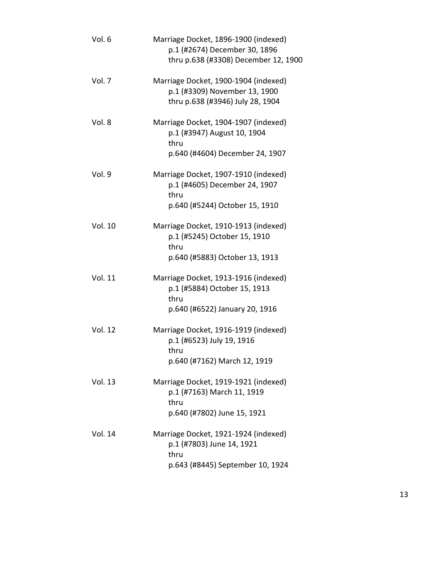| Vol. 6         | Marriage Docket, 1896-1900 (indexed)<br>p.1 (#2674) December 30, 1896<br>thru p.638 (#3308) December 12, 1900   |
|----------------|-----------------------------------------------------------------------------------------------------------------|
| Vol. 7         | Marriage Docket, 1900-1904 (indexed)<br>p.1 (#3309) November 13, 1900<br>thru p.638 (#3946) July 28, 1904       |
| Vol. 8         | Marriage Docket, 1904-1907 (indexed)<br>p.1 (#3947) August 10, 1904<br>thru<br>p.640 (#4604) December 24, 1907  |
| Vol. 9         | Marriage Docket, 1907-1910 (indexed)<br>p.1 (#4605) December 24, 1907<br>thru<br>p.640 (#5244) October 15, 1910 |
| <b>Vol. 10</b> | Marriage Docket, 1910-1913 (indexed)<br>p.1 (#5245) October 15, 1910<br>thru<br>p.640 (#5883) October 13, 1913  |
| <b>Vol. 11</b> | Marriage Docket, 1913-1916 (indexed)<br>p.1 (#5884) October 15, 1913<br>thru<br>p.640 (#6522) January 20, 1916  |
| <b>Vol. 12</b> | Marriage Docket, 1916-1919 (indexed)<br>p.1 (#6523) July 19, 1916<br>thru<br>p.640 (#7162) March 12, 1919       |
| <b>Vol. 13</b> | Marriage Docket, 1919-1921 (indexed)<br>p.1 (#7163) March 11, 1919<br>thru<br>p.640 (#7802) June 15, 1921       |
| Vol. 14        | Marriage Docket, 1921-1924 (indexed)<br>p.1 (#7803) June 14, 1921<br>thru<br>p.643 (#8445) September 10, 1924   |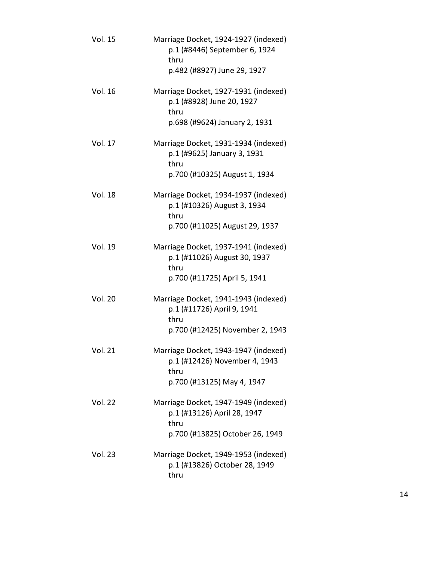| <b>Vol. 15</b> | Marriage Docket, 1924-1927 (indexed)<br>p.1 (#8446) September 6, 1924<br>thru<br>p.482 (#8927) June 29, 1927   |
|----------------|----------------------------------------------------------------------------------------------------------------|
| <b>Vol. 16</b> | Marriage Docket, 1927-1931 (indexed)<br>p.1 (#8928) June 20, 1927<br>thru<br>p.698 (#9624) January 2, 1931     |
| Vol. 17        | Marriage Docket, 1931-1934 (indexed)<br>p.1 (#9625) January 3, 1931<br>thru<br>p.700 (#10325) August 1, 1934   |
| <b>Vol. 18</b> | Marriage Docket, 1934-1937 (indexed)<br>p.1 (#10326) August 3, 1934<br>thru<br>p.700 (#11025) August 29, 1937  |
| <b>Vol. 19</b> | Marriage Docket, 1937-1941 (indexed)<br>p.1 (#11026) August 30, 1937<br>thru<br>p.700 (#11725) April 5, 1941   |
| <b>Vol. 20</b> | Marriage Docket, 1941-1943 (indexed)<br>p.1 (#11726) April 9, 1941<br>thru<br>p.700 (#12425) November 2, 1943  |
| <b>Vol. 21</b> | Marriage Docket, 1943-1947 (indexed)<br>p.1 (#12426) November 4, 1943<br>thru<br>p.700 (#13125) May 4, 1947    |
| <b>Vol. 22</b> | Marriage Docket, 1947-1949 (indexed)<br>p.1 (#13126) April 28, 1947<br>thru<br>p.700 (#13825) October 26, 1949 |
| Vol. 23        | Marriage Docket, 1949-1953 (indexed)<br>p.1 (#13826) October 28, 1949<br>thru                                  |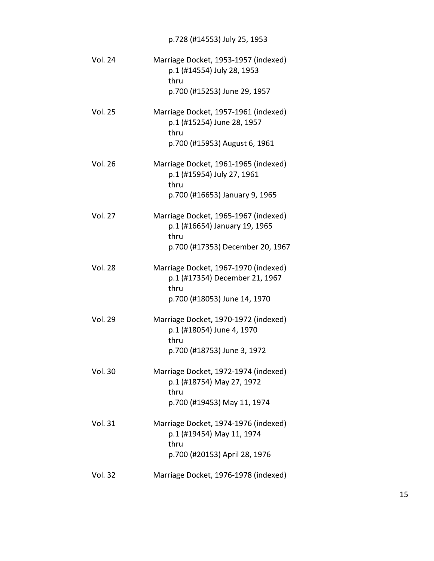# p.728 (#14553) July 25, 1953

| <b>Vol. 24</b> | Marriage Docket, 1953-1957 (indexed)<br>p.1 (#14554) July 28, 1953<br>thru<br>p.700 (#15253) June 29, 1957        |
|----------------|-------------------------------------------------------------------------------------------------------------------|
| <b>Vol. 25</b> | Marriage Docket, 1957-1961 (indexed)<br>p.1 (#15254) June 28, 1957<br>thru<br>p.700 (#15953) August 6, 1961       |
| <b>Vol. 26</b> | Marriage Docket, 1961-1965 (indexed)<br>p.1 (#15954) July 27, 1961<br>thru<br>p.700 (#16653) January 9, 1965      |
| <b>Vol. 27</b> | Marriage Docket, 1965-1967 (indexed)<br>p.1 (#16654) January 19, 1965<br>thru<br>p.700 (#17353) December 20, 1967 |
| <b>Vol. 28</b> | Marriage Docket, 1967-1970 (indexed)<br>p.1 (#17354) December 21, 1967<br>thru<br>p.700 (#18053) June 14, 1970    |
| <b>Vol. 29</b> | Marriage Docket, 1970-1972 (indexed)<br>p.1 (#18054) June 4, 1970<br>thru<br>p.700 (#18753) June 3, 1972          |
| <b>Vol. 30</b> | Marriage Docket, 1972-1974 (indexed)<br>p.1 (#18754) May 27, 1972<br>thru<br>p.700 (#19453) May 11, 1974          |
| <b>Vol. 31</b> | Marriage Docket, 1974-1976 (indexed)<br>p.1 (#19454) May 11, 1974<br>thru<br>p.700 (#20153) April 28, 1976        |
| <b>Vol. 32</b> | Marriage Docket, 1976-1978 (indexed)                                                                              |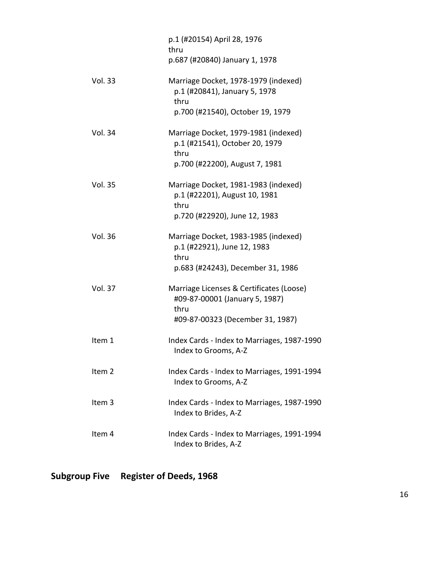|                | p.1 (#20154) April 28, 1976<br>thru<br>p.687 (#20840) January 1, 1978                                                  |
|----------------|------------------------------------------------------------------------------------------------------------------------|
| <b>Vol. 33</b> | Marriage Docket, 1978-1979 (indexed)<br>p.1 (#20841), January 5, 1978<br>thru<br>p.700 (#21540), October 19, 1979      |
| Vol. 34        | Marriage Docket, 1979-1981 (indexed)<br>p.1 (#21541), October 20, 1979<br>thru<br>p.700 (#22200), August 7, 1981       |
| <b>Vol. 35</b> | Marriage Docket, 1981-1983 (indexed)<br>p.1 (#22201), August 10, 1981<br>thru<br>p.720 (#22920), June 12, 1983         |
| <b>Vol. 36</b> | Marriage Docket, 1983-1985 (indexed)<br>p.1 (#22921), June 12, 1983<br>thru<br>p.683 (#24243), December 31, 1986       |
| <b>Vol. 37</b> | Marriage Licenses & Certificates (Loose)<br>#09-87-00001 (January 5, 1987)<br>thru<br>#09-87-00323 (December 31, 1987) |
| Item 1         | Index Cards - Index to Marriages, 1987-1990<br>Index to Grooms, A-Z                                                    |
| Item 2         | Index Cards - Index to Marriages, 1991-1994<br>Index to Grooms, A-Z                                                    |
| Item 3         | Index Cards - Index to Marriages, 1987-1990<br>Index to Brides, A-Z                                                    |
| Item 4         | Index Cards - Index to Marriages, 1991-1994<br>Index to Brides, A-Z                                                    |

<span id="page-15-0"></span>**Subgroup Five Register of Deeds, 1968**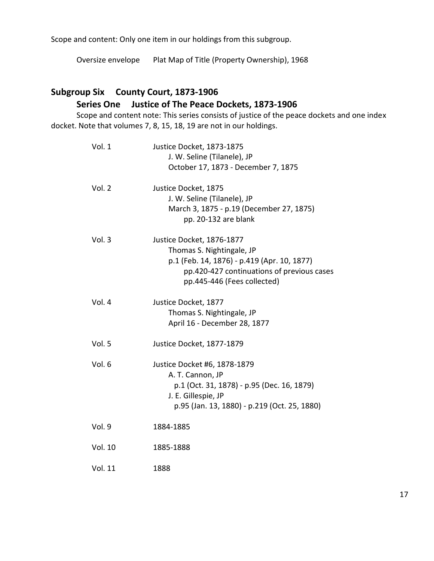Scope and content: Only one item in our holdings from this subgroup.

Oversize envelope Plat Map of Title (Property Ownership), 1968

# <span id="page-16-0"></span>**Subgroup Six County Court, 1873-1906**

# <span id="page-16-1"></span>**Series One Justice of The Peace Dockets, 1873-1906**

Scope and content note: This series consists of justice of the peace dockets and one index docket. Note that volumes 7, 8, 15, 18, 19 are not in our holdings.

| Justice Docket, 1873-1875                    |
|----------------------------------------------|
| J. W. Seline (Tilanele), JP                  |
| October 17, 1873 - December 7, 1875          |
| Justice Docket, 1875                         |
| J. W. Seline (Tilanele), JP                  |
| March 3, 1875 - p.19 (December 27, 1875)     |
| pp. 20-132 are blank                         |
| Justice Docket, 1876-1877                    |
| Thomas S. Nightingale, JP                    |
| p.1 (Feb. 14, 1876) - p.419 (Apr. 10, 1877)  |
| pp.420-427 continuations of previous cases   |
| pp.445-446 (Fees collected)                  |
| Justice Docket, 1877                         |
| Thomas S. Nightingale, JP                    |
| April 16 - December 28, 1877                 |
| Justice Docket, 1877-1879                    |
| Justice Docket #6, 1878-1879                 |
| A. T. Cannon, JP                             |
| p.1 (Oct. 31, 1878) - p.95 (Dec. 16, 1879)   |
| J. E. Gillespie, JP                          |
| p.95 (Jan. 13, 1880) - p.219 (Oct. 25, 1880) |
| 1884-1885                                    |
| 1885-1888                                    |
| 1888                                         |
|                                              |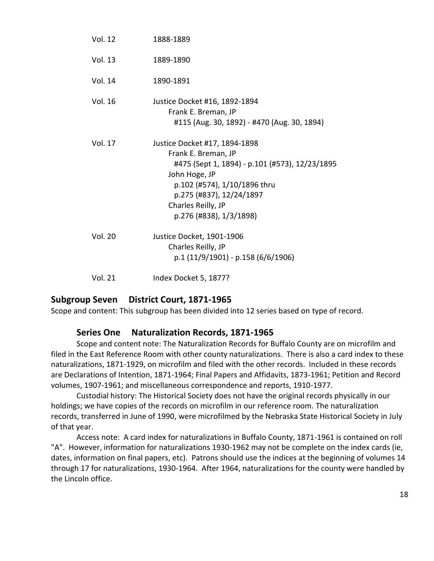| <b>Vol. 12</b> | 1888-1889                                                                                                                                                                                                                            |
|----------------|--------------------------------------------------------------------------------------------------------------------------------------------------------------------------------------------------------------------------------------|
| <b>Vol. 13</b> | 1889-1890                                                                                                                                                                                                                            |
| Vol. 14        | 1890-1891                                                                                                                                                                                                                            |
| Vol. 16        | Justice Docket #16, 1892-1894<br>Frank E. Breman, JP<br>#115 (Aug. 30, 1892) - #470 (Aug. 30, 1894)                                                                                                                                  |
| <b>Vol. 17</b> | Justice Docket #17, 1894-1898<br>Frank E. Breman, JP<br>#475 (Sept 1, 1894) - p.101 (#573), 12/23/1895<br>John Hoge, JP<br>p.102 (#574), 1/10/1896 thru<br>p.275 (#837), 12/24/1897<br>Charles Reilly, JP<br>p.276 (#838), 1/3/1898) |
| Vol. 20        | Justice Docket, 1901-1906<br>Charles Reilly, JP<br>$p.1(11/9/1901) - p.158(6/6/1906)$                                                                                                                                                |
|                |                                                                                                                                                                                                                                      |

#### <span id="page-17-0"></span>**Subgroup Seven District Court, 1871-1965**

Vol. 21 Index Docket 5, 1877?

Scope and content: This subgroup has been divided into 12 series based on type of record.

#### <span id="page-17-1"></span>**Series One Naturalization Records, 1871-1965**

Scope and content note: The Naturalization Records for Buffalo County are on microfilm and filed in the East Reference Room with other county naturalizations. There is also a card index to these naturalizations, 1871-1929, on microfilm and filed with the other records. Included in these records are Declarations of Intention, 1871-1964; Final Papers and Affidavits, 1873-1961; Petition and Record volumes, 1907-1961; and miscellaneous correspondence and reports, 1910-1977.

Custodial history: The Historical Society does not have the original records physically in our holdings; we have copies of the records on microfilm in our reference room. The naturalization records, transferred in June of 1990, were microfilmed by the Nebraska State Historical Society in July of that year.

Access note: A card index for naturalizations in Buffalo County, 1871-1961 is contained on roll "A". However, information for naturalizations 1930-1962 may not be complete on the index cards (ie, dates, information on final papers, etc). Patrons should use the indices at the beginning of volumes 14 through 17 for naturalizations, 1930-1964. After 1964, naturalizations for the county were handled by the Lincoln office.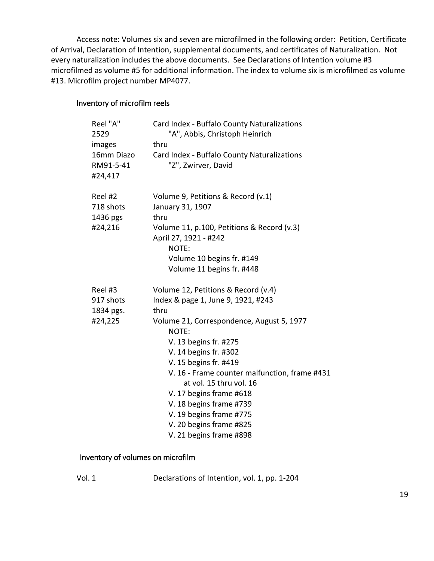Access note: Volumes six and seven are microfilmed in the following order: Petition, Certificate of Arrival, Declaration of Intention, supplemental documents, and certificates of Naturalization. Not every naturalization includes the above documents. See Declarations of Intention volume #3 microfilmed as volume #5 for additional information. The index to volume six is microfilmed as volume #13. Microfilm project number MP4077.

#### <span id="page-18-0"></span>Inventory of microfilm reels

| Reel "A"<br>2529 | Card Index - Buffalo County Naturalizations<br>"A", Abbis, Christoph Heinrich |
|------------------|-------------------------------------------------------------------------------|
| images           | thru                                                                          |
| 16mm Diazo       | Card Index - Buffalo County Naturalizations                                   |
| RM91-5-41        | "Z", Zwirver, David                                                           |
| #24,417          |                                                                               |
| Reel #2          | Volume 9, Petitions & Record (v.1)                                            |
| 718 shots        | January 31, 1907                                                              |
| 1436 pgs         | thru                                                                          |
| #24,216          | Volume 11, p.100, Petitions & Record (v.3)<br>April 27, 1921 - #242           |
|                  | NOTE:                                                                         |
|                  | Volume 10 begins fr. #149                                                     |
|                  | Volume 11 begins fr. #448                                                     |
| Reel #3          | Volume 12, Petitions & Record (v.4)                                           |
| 917 shots        | Index & page 1, June 9, 1921, #243                                            |
| 1834 pgs.        | thru                                                                          |
| #24,225          | Volume 21, Correspondence, August 5, 1977<br>NOTE:                            |
|                  | V. 13 begins fr. #275                                                         |
|                  | V. 14 begins fr. #302                                                         |
|                  | V. 15 begins fr. #419                                                         |
|                  | V. 16 - Frame counter malfunction, frame #431                                 |
|                  | at vol. 15 thru vol. 16                                                       |
|                  | V. 17 begins frame #618                                                       |
|                  | V. 18 begins frame #739                                                       |
|                  | V. 19 begins frame #775                                                       |
|                  | V. 20 begins frame #825                                                       |
|                  | V. 21 begins frame #898                                                       |

## <span id="page-18-1"></span>Inventory of volumes on microfilm

| ۰. |  |
|----|--|
|    |  |

Declarations of Intention, vol. 1, pp. 1-204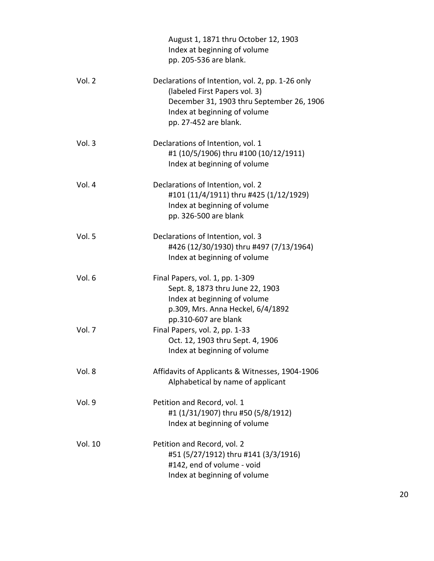|         | August 1, 1871 thru October 12, 1903<br>Index at beginning of volume<br>pp. 205-536 are blank.                                                                                          |
|---------|-----------------------------------------------------------------------------------------------------------------------------------------------------------------------------------------|
| Vol. 2  | Declarations of Intention, vol. 2, pp. 1-26 only<br>(labeled First Papers vol. 3)<br>December 31, 1903 thru September 26, 1906<br>Index at beginning of volume<br>pp. 27-452 are blank. |
| Vol. 3  | Declarations of Intention, vol. 1<br>#1 (10/5/1906) thru #100 (10/12/1911)<br>Index at beginning of volume                                                                              |
| Vol. 4  | Declarations of Intention, vol. 2<br>#101 (11/4/1911) thru #425 (1/12/1929)<br>Index at beginning of volume<br>pp. 326-500 are blank                                                    |
| Vol. 5  | Declarations of Intention, vol. 3<br>#426 (12/30/1930) thru #497 (7/13/1964)<br>Index at beginning of volume                                                                            |
| Vol. 6  | Final Papers, vol. 1, pp. 1-309<br>Sept. 8, 1873 thru June 22, 1903<br>Index at beginning of volume<br>p.309, Mrs. Anna Heckel, 6/4/1892<br>pp.310-607 are blank                        |
| Vol. 7  | Final Papers, vol. 2, pp. 1-33<br>Oct. 12, 1903 thru Sept. 4, 1906<br>Index at beginning of volume                                                                                      |
| Vol. 8  | Affidavits of Applicants & Witnesses, 1904-1906<br>Alphabetical by name of applicant                                                                                                    |
| Vol. 9  | Petition and Record, vol. 1<br>#1 (1/31/1907) thru #50 (5/8/1912)<br>Index at beginning of volume                                                                                       |
| Vol. 10 | Petition and Record, vol. 2<br>#51 (5/27/1912) thru #141 (3/3/1916)<br>#142, end of volume - void<br>Index at beginning of volume                                                       |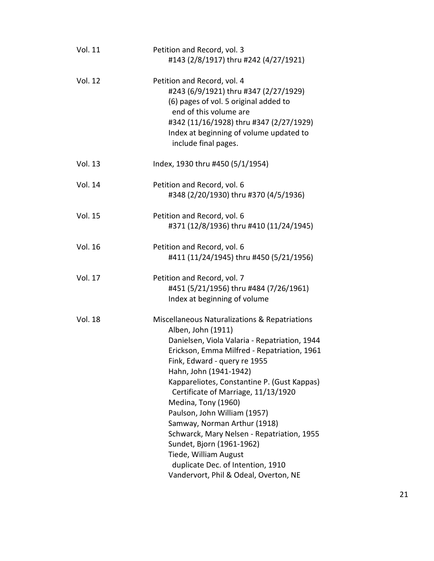| <b>Vol. 11</b> | Petition and Record, vol. 3<br>#143 (2/8/1917) thru #242 (4/27/1921)                                                                                                                                                                                                                                                                                                                                                                                                                                                                                                                         |
|----------------|----------------------------------------------------------------------------------------------------------------------------------------------------------------------------------------------------------------------------------------------------------------------------------------------------------------------------------------------------------------------------------------------------------------------------------------------------------------------------------------------------------------------------------------------------------------------------------------------|
| <b>Vol. 12</b> | Petition and Record, vol. 4<br>#243 (6/9/1921) thru #347 (2/27/1929)<br>(6) pages of vol. 5 original added to<br>end of this volume are<br>#342 (11/16/1928) thru #347 (2/27/1929)<br>Index at beginning of volume updated to<br>include final pages.                                                                                                                                                                                                                                                                                                                                        |
| <b>Vol. 13</b> | Index, 1930 thru #450 (5/1/1954)                                                                                                                                                                                                                                                                                                                                                                                                                                                                                                                                                             |
| Vol. 14        | Petition and Record, vol. 6<br>#348 (2/20/1930) thru #370 (4/5/1936)                                                                                                                                                                                                                                                                                                                                                                                                                                                                                                                         |
| <b>Vol. 15</b> | Petition and Record, vol. 6<br>#371 (12/8/1936) thru #410 (11/24/1945)                                                                                                                                                                                                                                                                                                                                                                                                                                                                                                                       |
| <b>Vol. 16</b> | Petition and Record, vol. 6<br>#411 (11/24/1945) thru #450 (5/21/1956)                                                                                                                                                                                                                                                                                                                                                                                                                                                                                                                       |
| <b>Vol. 17</b> | Petition and Record, vol. 7<br>#451 (5/21/1956) thru #484 (7/26/1961)<br>Index at beginning of volume                                                                                                                                                                                                                                                                                                                                                                                                                                                                                        |
| <b>Vol. 18</b> | Miscellaneous Naturalizations & Repatriations<br>Alben, John (1911)<br>Danielsen, Viola Valaria - Repatriation, 1944<br>Erickson, Emma Milfred - Repatriation, 1961<br>Fink, Edward - query re 1955<br>Hahn, John (1941-1942)<br>Kappareliotes, Constantine P. (Gust Kappas)<br>Certificate of Marriage, 11/13/1920<br>Medina, Tony (1960)<br>Paulson, John William (1957)<br>Samway, Norman Arthur (1918)<br>Schwarck, Mary Nelsen - Repatriation, 1955<br>Sundet, Bjorn (1961-1962)<br>Tiede, William August<br>duplicate Dec. of Intention, 1910<br>Vandervort, Phil & Odeal, Overton, NE |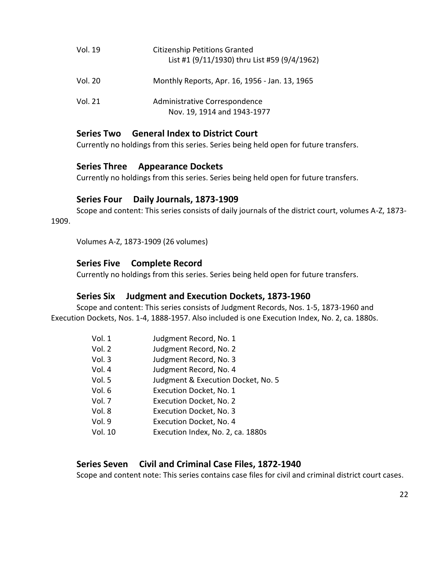| Vol. 19 | <b>Citizenship Petitions Granted</b><br>List #1 (9/11/1930) thru List #59 (9/4/1962) |
|---------|--------------------------------------------------------------------------------------|
| Vol. 20 | Monthly Reports, Apr. 16, 1956 - Jan. 13, 1965                                       |
| Vol. 21 | Administrative Correspondence<br>Nov. 19, 1914 and 1943-1977                         |

# <span id="page-21-0"></span>**Series Two General Index to District Court**

Currently no holdings from this series. Series being held open for future transfers.

#### <span id="page-21-1"></span>**Series Three Appearance Dockets**

Currently no holdings from this series. Series being held open for future transfers.

#### **Series Four Daily Journals, 1873-1909**

<span id="page-21-2"></span>Scope and content: This series consists of daily journals of the district court, volumes A-Z, 1873- 1909.

Volumes A-Z, 1873-1909 (26 volumes)

# <span id="page-21-3"></span>**Series Five Complete Record**

Currently no holdings from this series. Series being held open for future transfers.

#### **Series Six Judgment and Execution Dockets, 1873-1960**

<span id="page-21-4"></span>Scope and content: This series consists of Judgment Records, Nos. 1-5, 1873-1960 and Execution Dockets, Nos. 1-4, 1888-1957. Also included is one Execution Index, No. 2, ca. 1880s.

| Vol. 1  | Judgment Record, No. 1             |
|---------|------------------------------------|
| Vol. 2  | Judgment Record, No. 2             |
| Vol. 3  | Judgment Record, No. 3             |
| Vol. 4  | Judgment Record, No. 4             |
| Vol. 5  | Judgment & Execution Docket, No. 5 |
| Vol. 6  | Execution Docket, No. 1            |
| Vol. 7  | Execution Docket, No. 2            |
| Vol. 8  | Execution Docket, No. 3            |
| Vol. 9  | Execution Docket, No. 4            |
| Vol. 10 | Execution Index, No. 2, ca. 1880s  |
|         |                                    |

# <span id="page-21-5"></span>**Series Seven Civil and Criminal Case Files, 1872-1940**

Scope and content note: This series contains case files for civil and criminal district court cases.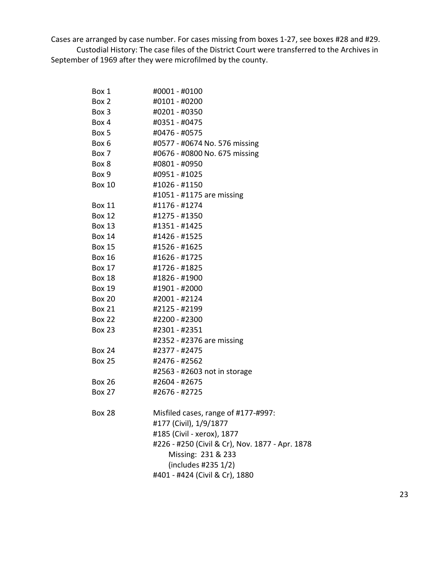Cases are arranged by case number. For cases missing from boxes 1-27, see boxes #28 and #29. Custodial History: The case files of the District Court were transferred to the Archives in September of 1969 after they were microfilmed by the county.

| Box 1         | #0001 - #0100                                   |
|---------------|-------------------------------------------------|
| Box 2         | #0101 - #0200                                   |
| Box 3         | #0201 - #0350                                   |
| Box 4         | #0351 - #0475                                   |
| Box 5         | #0476 - #0575                                   |
| Box 6         | #0577 - #0674 No. 576 missing                   |
| Box 7         | #0676 - #0800 No. 675 missing                   |
| Box 8         | #0801 - #0950                                   |
| Box 9         | #0951 - #1025                                   |
| <b>Box 10</b> | #1026 - #1150                                   |
|               | #1051 - #1175 are missing                       |
| <b>Box 11</b> | #1176 - #1274                                   |
| <b>Box 12</b> | #1275 - #1350                                   |
| Box 13        | #1351 - #1425                                   |
| Box 14        | #1426 - #1525                                   |
| <b>Box 15</b> | #1526 - #1625                                   |
| <b>Box 16</b> | #1626 - #1725                                   |
| <b>Box 17</b> | #1726 - #1825                                   |
| <b>Box 18</b> | #1826 - #1900                                   |
| <b>Box 19</b> | #1901 - #2000                                   |
| <b>Box 20</b> | #2001 - #2124                                   |
| Box 21        | #2125 - #2199                                   |
| <b>Box 22</b> | #2200 - #2300                                   |
| <b>Box 23</b> | #2301 - #2351                                   |
|               | #2352 - #2376 are missing                       |
| <b>Box 24</b> | #2377 - #2475                                   |
| <b>Box 25</b> | #2476 - #2562                                   |
|               | #2563 - #2603 not in storage                    |
| <b>Box 26</b> | #2604 - #2675                                   |
| <b>Box 27</b> | #2676 - #2725                                   |
| <b>Box 28</b> | Misfiled cases, range of #177-#997:             |
|               | #177 (Civil), 1/9/1877                          |
|               | #185 (Civil - xerox), 1877                      |
|               | #226 - #250 (Civil & Cr), Nov. 1877 - Apr. 1878 |
|               | Missing: 231 & 233                              |
|               | (includes #235 1/2)                             |
|               | #401 - #424 (Civil & Cr), 1880                  |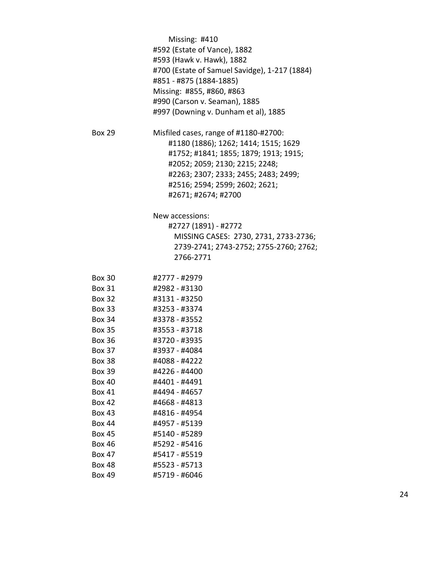|               | Missing: #410                                 |
|---------------|-----------------------------------------------|
|               | #592 (Estate of Vance), 1882                  |
|               | #593 (Hawk v. Hawk), 1882                     |
|               | #700 (Estate of Samuel Savidge), 1-217 (1884) |
|               | #851 - #875 (1884-1885)                       |
|               | Missing: #855, #860, #863                     |
|               | #990 (Carson v. Seaman), 1885                 |
|               | #997 (Downing v. Dunham et al), 1885          |
| <b>Box 29</b> | Misfiled cases, range of #1180-#2700:         |
|               | #1180 (1886); 1262; 1414; 1515; 1629          |
|               | #1752; #1841; 1855; 1879; 1913; 1915;         |
|               | #2052; 2059; 2130; 2215; 2248;                |
|               | #2263; 2307; 2333; 2455; 2483; 2499;          |
|               | #2516; 2594; 2599; 2602; 2621;                |
|               | #2671; #2674; #2700                           |
|               | New accessions:                               |
|               | #2727 (1891) - #2772                          |
|               | MISSING CASES: 2730, 2731, 2733-2736;         |
|               | 2739-2741; 2743-2752; 2755-2760; 2762;        |
|               | 2766-2771                                     |
| <b>Box 30</b> | #2777 - #2979                                 |
| <b>Box 31</b> | #2982 - #3130                                 |
| <b>Box 32</b> | #3131 - #3250                                 |
| <b>Box 33</b> | #3253 - #3374                                 |
| <b>Box 34</b> | #3378 - #3552                                 |
| <b>Box 35</b> | #3553 - #3718                                 |
| <b>Box 36</b> | #3720 - #3935                                 |
| <b>Box 37</b> | #3937 - #4084                                 |
| <b>Box 38</b> | #4088 - #4222                                 |
| <b>Box 39</b> | #4226 - #4400                                 |
| <b>Box 40</b> | #4401 - #4491                                 |
| <b>Box 41</b> | #4494 - #4657                                 |
| <b>Box 42</b> | #4668 - #4813                                 |
| <b>Box 43</b> | #4816 - #4954                                 |
| <b>Box 44</b> | #4957 - #5139                                 |
| <b>Box 45</b> | #5140 - #5289                                 |
| <b>Box 46</b> | #5292 - #5416                                 |
| <b>Box 47</b> | #5417 - #5519                                 |
| <b>Box 48</b> | #5523 - #5713                                 |
| <b>Box 49</b> | #5719 - #6046                                 |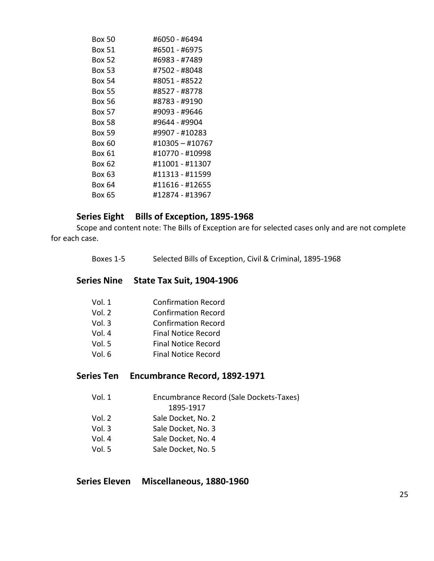| Box 50        | #6050 - #6494   |
|---------------|-----------------|
| Box 51        | #6501 - #6975   |
| <b>Box 52</b> | #6983 - #7489   |
| Box 53        | #7502 - #8048   |
| Box 54        | #8051 - #8522   |
| Box 55        | #8527 - #8778   |
| Box 56        | #8783 - #9190   |
| Box 57        | #9093 - #9646   |
| Box 58        | #9644 - #9904   |
| Box 59        | #9907 - #10283  |
| Box 60        | #10305 - #10767 |
| Box 61        | #10770 - #10998 |
| Box 62        | #11001 - #11307 |
| Box 63        | #11313 - #11599 |
| Box 64        | #11616 - #12655 |
| Box 65        | #12874 - #13967 |

# Series Eight Bills of Exception, 1895-1968

<span id="page-24-0"></span>Scope and content note: The Bills of Exception are for selected cases only and are not complete for each case.

Boxes 1-5 Selected Bills of Exception, Civil & Criminal, 1895-1968

## <span id="page-24-1"></span>**Series Nine State Tax Suit, 1904-1906**

| <b>Confirmation Record</b> |
|----------------------------|
| <b>Confirmation Record</b> |
| <b>Confirmation Record</b> |
| <b>Final Notice Record</b> |
| <b>Final Notice Record</b> |
| <b>Final Notice Record</b> |
|                            |

## <span id="page-24-2"></span>**Series Ten Encumbrance Record, 1892-1971**

| Vol. 1 | Encumbrance Record (Sale Dockets-Taxes) |
|--------|-----------------------------------------|
|        | 1895-1917                               |
| Vol. 2 | Sale Docket, No. 2                      |
| Vol.3  | Sale Docket, No. 3                      |

- Vol. 4 Sale Docket, No. 4
- Vol. 5 Sale Docket, No. 5

<span id="page-24-3"></span>**Series Eleven Miscellaneous, 1880-1960**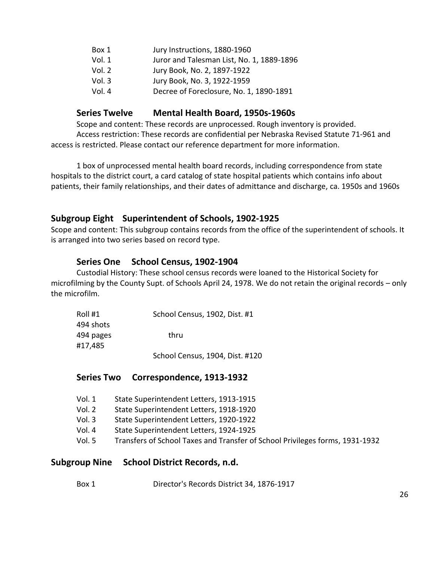| Box 1  | Jury Instructions, 1880-1960              |
|--------|-------------------------------------------|
| Vol. 1 | Juror and Talesman List, No. 1, 1889-1896 |
| Vol. 2 | Jury Book, No. 2, 1897-1922               |
| Vol.3  | Jury Book, No. 3, 1922-1959               |
| Vol. 4 | Decree of Foreclosure, No. 1, 1890-1891   |

# **Series Twelve Mental Health Board, 1950s-1960s**

<span id="page-25-0"></span>Scope and content: These records are unprocessed. Rough inventory is provided. Access restriction: These records are confidential per Nebraska Revised Statute 71-961 and access is restricted. Please contact our reference department for more information.

1 box of unprocessed mental health board records, including correspondence from state hospitals to the district court, a card catalog of state hospital patients which contains info about patients, their family relationships, and their dates of admittance and discharge, ca. 1950s and 1960s

# <span id="page-25-1"></span>**Subgroup Eight Superintendent of Schools, 1902-1925**

Scope and content: This subgroup contains records from the office of the superintendent of schools. It is arranged into two series based on record type.

# <span id="page-25-2"></span>**Series One School Census, 1902-1904**

Custodial History: These school census records were loaned to the Historical Society for microfilming by the County Supt. of Schools April 24, 1978. We do not retain the original records – only the microfilm.

| Roll #1   | School Census, 1902, Dist. #1   |
|-----------|---------------------------------|
| 494 shots |                                 |
| 494 pages | thru                            |
| #17,485   |                                 |
|           | School Census, 1904, Dist. #120 |

<span id="page-25-3"></span>**Series Two Correspondence, 1913-1932**

- Vol. 1 State Superintendent Letters, 1913-1915
- Vol. 2 State Superintendent Letters, 1918-1920
- Vol. 3 State Superintendent Letters, 1920-1922
- Vol. 4 State Superintendent Letters, 1924-1925
- Vol. 5 Transfers of School Taxes and Transfer of School Privileges forms, 1931-1932

# <span id="page-25-4"></span>**Subgroup Nine School District Records, n.d.**

Box 1 Director's Records District 34, 1876-1917